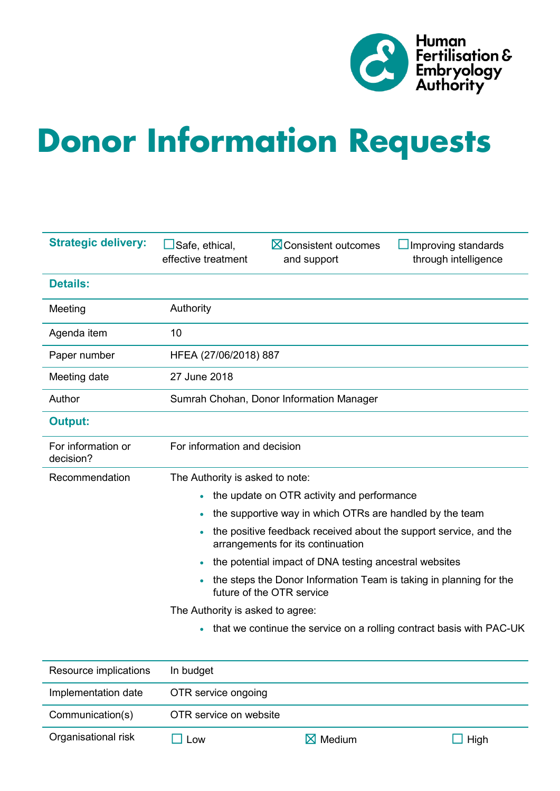

# **Donor Information Requests**

| <b>Strategic delivery:</b>      | <b>X</b> Consistent outcomes<br>Safe, ethical,<br>Improving standards<br>effective treatment<br>through intelligence<br>and support |  |  |  |  |  |  |
|---------------------------------|-------------------------------------------------------------------------------------------------------------------------------------|--|--|--|--|--|--|
| <b>Details:</b>                 |                                                                                                                                     |  |  |  |  |  |  |
| Meeting                         | Authority                                                                                                                           |  |  |  |  |  |  |
| Agenda item                     | 10                                                                                                                                  |  |  |  |  |  |  |
| Paper number                    | HFEA (27/06/2018) 887                                                                                                               |  |  |  |  |  |  |
| Meeting date                    | 27 June 2018                                                                                                                        |  |  |  |  |  |  |
| Author                          | Sumrah Chohan, Donor Information Manager                                                                                            |  |  |  |  |  |  |
| <b>Output:</b>                  |                                                                                                                                     |  |  |  |  |  |  |
| For information or<br>decision? | For information and decision                                                                                                        |  |  |  |  |  |  |
| Recommendation                  | The Authority is asked to note:                                                                                                     |  |  |  |  |  |  |
|                                 | the update on OTR activity and performance<br>$\bullet$                                                                             |  |  |  |  |  |  |
|                                 | the supportive way in which OTRs are handled by the team<br>$\bullet$                                                               |  |  |  |  |  |  |
|                                 | the positive feedback received about the support service, and the<br>arrangements for its continuation                              |  |  |  |  |  |  |
|                                 | the potential impact of DNA testing ancestral websites                                                                              |  |  |  |  |  |  |
|                                 | the steps the Donor Information Team is taking in planning for the<br>$\bullet$<br>future of the OTR service                        |  |  |  |  |  |  |
|                                 | The Authority is asked to agree:                                                                                                    |  |  |  |  |  |  |
|                                 | that we continue the service on a rolling contract basis with PAC-UK<br>$\bullet$                                                   |  |  |  |  |  |  |
|                                 |                                                                                                                                     |  |  |  |  |  |  |

| Resource implications | In budget              |                 |              |  |  |  |
|-----------------------|------------------------|-----------------|--------------|--|--|--|
| Implementation date   | OTR service ongoing    |                 |              |  |  |  |
| Communication(s)      | OTR service on website |                 |              |  |  |  |
| Organisational risk   | 0 <sub>W</sub>         | $\times$ Medium | $\vert$ High |  |  |  |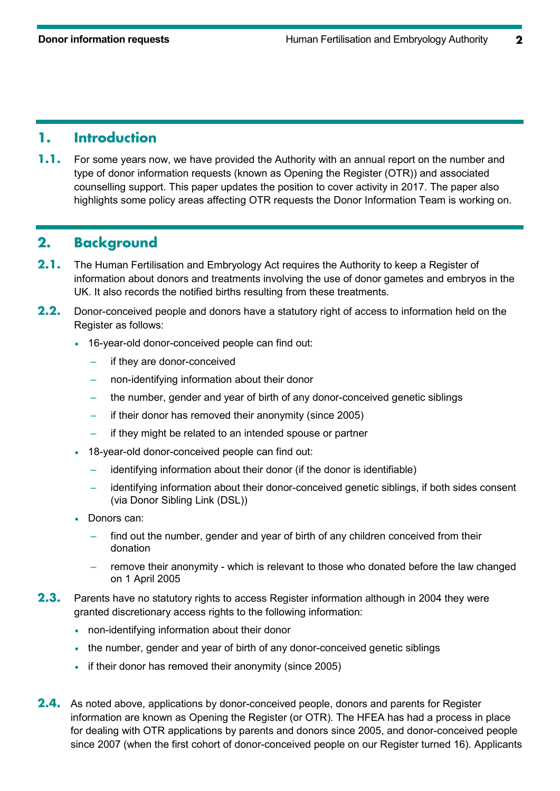## **1. Introduction**

**1.1.** For some years now, we have provided the Authority with an annual report on the number and type of donor information requests (known as Opening the Register (OTR)) and associated counselling support. This paper updates the position to cover activity in 2017. The paper also highlights some policy areas affecting OTR requests the Donor Information Team is working on.

## **2. Background**

- **2.1.** The Human Fertilisation and Embryology Act requires the Authority to keep a Register of information about donors and treatments involving the use of donor gametes and embryos in the UK. It also records the notified births resulting from these treatments.
- **2.2.** Donor-conceived people and donors have a statutory right of access to information held on the Register as follows:
	- 16-year-old donor-conceived people can find out:
		- if they are donor-conceived
		- non-identifying information about their donor
		- the number, gender and year of birth of any donor-conceived genetic siblings
		- if their donor has removed their anonymity (since 2005)
		- if they might be related to an intended spouse or partner
	- 18-year-old donor-conceived people can find out:
		- identifying information about their donor (if the donor is identifiable)
		- identifying information about their donor-conceived genetic siblings, if both sides consent (via Donor Sibling Link (DSL))
	- Donors can:
		- find out the number, gender and year of birth of any children conceived from their donation
		- remove their anonymity which is relevant to those who donated before the law changed on 1 April 2005
- **2.3.** Parents have no statutory rights to access Register information although in 2004 they were granted discretionary access rights to the following information:
	- non-identifying information about their donor
	- the number, gender and year of birth of any donor-conceived genetic siblings
	- if their donor has removed their anonymity (since 2005)
- **2.4.** As noted above, applications by donor-conceived people, donors and parents for Register information are known as Opening the Register (or OTR). The HFEA has had a process in place for dealing with OTR applications by parents and donors since 2005, and donor-conceived people since 2007 (when the first cohort of donor-conceived people on our Register turned 16). Applicants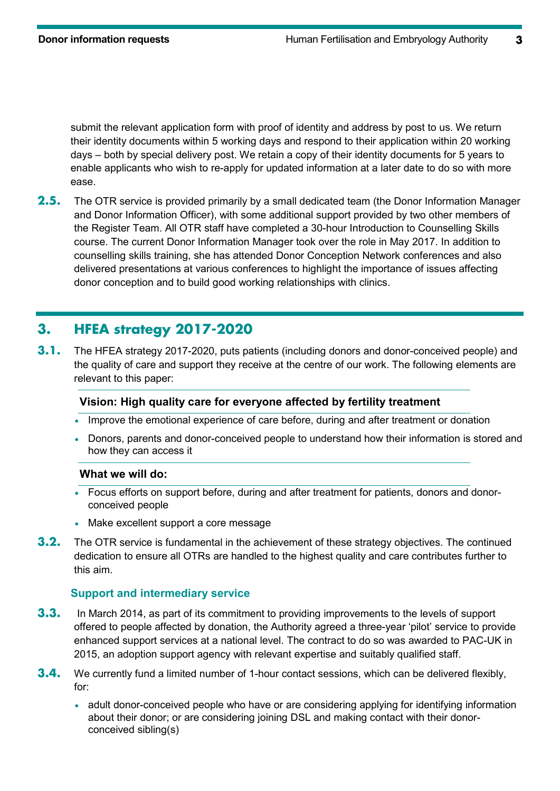submit the relevant application form with proof of identity and address by post to us. We return their identity documents within 5 working days and respond to their application within 20 working days – both by special delivery post. We retain a copy of their identity documents for 5 years to enable applicants who wish to re-apply for updated information at a later date to do so with more ease.

**2.5.** The OTR service is provided primarily by a small dedicated team (the Donor Information Manager and Donor Information Officer), with some additional support provided by two other members of the Register Team. All OTR staff have completed a 30-hour Introduction to Counselling Skills course. The current Donor Information Manager took over the role in May 2017. In addition to counselling skills training, she has attended Donor Conception Network conferences and also delivered presentations at various conferences to highlight the importance of issues affecting donor conception and to build good working relationships with clinics.

# **3. HFEA strategy 2017-2020**

**3.1.** The HFEA strategy 2017-2020, puts patients (including donors and donor-conceived people) and the quality of care and support they receive at the centre of our work. The following elements are relevant to this paper:

#### **Vision: High quality care for everyone affected by fertility treatment**

- Improve the emotional experience of care before, during and after treatment or donation
- Donors, parents and donor-conceived people to understand how their information is stored and how they can access it

#### **What we will do:**

- Focus efforts on support before, during and after treatment for patients, donors and donorconceived people
- Make excellent support a core message
- **3.2.** The OTR service is fundamental in the achievement of these strategy objectives. The continued dedication to ensure all OTRs are handled to the highest quality and care contributes further to this aim.

### **Support and intermediary service**

- **3.3.** In March 2014, as part of its commitment to providing improvements to the levels of support offered to people affected by donation, the Authority agreed a three-year 'pilot' service to provide enhanced support services at a national level. The contract to do so was awarded to PAC-UK in 2015, an adoption support agency with relevant expertise and suitably qualified staff.
- **3.4.** We currently fund a limited number of 1-hour contact sessions, which can be delivered flexibly, for:
	- adult donor-conceived people who have or are considering applying for identifying information about their donor; or are considering joining DSL and making contact with their donorconceived sibling(s)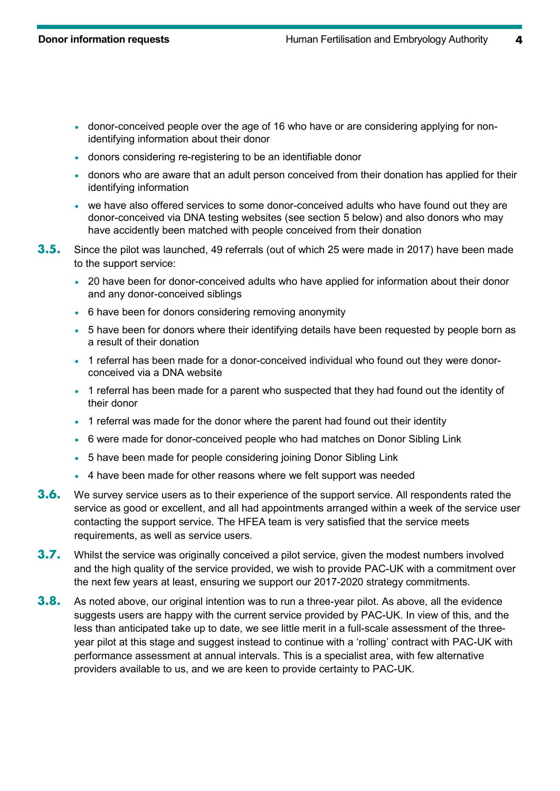- donor-conceived people over the age of 16 who have or are considering applying for nonidentifying information about their donor
- donors considering re-registering to be an identifiable donor
- donors who are aware that an adult person conceived from their donation has applied for their identifying information
- we have also offered services to some donor-conceived adults who have found out they are donor-conceived via DNA testing websites (see section 5 below) and also donors who may have accidently been matched with people conceived from their donation
- **3.5.** Since the pilot was launched, 49 referrals (out of which 25 were made in 2017) have been made to the support service:
	- 20 have been for donor-conceived adults who have applied for information about their donor and any donor-conceived siblings
	- 6 have been for donors considering removing anonymity
	- 5 have been for donors where their identifying details have been requested by people born as a result of their donation
	- 1 referral has been made for a donor-conceived individual who found out they were donorconceived via a DNA website
	- 1 referral has been made for a parent who suspected that they had found out the identity of their donor
	- 1 referral was made for the donor where the parent had found out their identity
	- 6 were made for donor-conceived people who had matches on Donor Sibling Link
	- 5 have been made for people considering joining Donor Sibling Link
	- 4 have been made for other reasons where we felt support was needed
- **3.6.** We survey service users as to their experience of the support service. All respondents rated the service as good or excellent, and all had appointments arranged within a week of the service user contacting the support service. The HFEA team is very satisfied that the service meets requirements, as well as service users.
- **3.7.** Whilst the service was originally conceived a pilot service, given the modest numbers involved and the high quality of the service provided, we wish to provide PAC-UK with a commitment over the next few years at least, ensuring we support our 2017-2020 strategy commitments.
- **3.8.** As noted above, our original intention was to run a three-year pilot. As above, all the evidence suggests users are happy with the current service provided by PAC-UK. In view of this, and the less than anticipated take up to date, we see little merit in a full-scale assessment of the threeyear pilot at this stage and suggest instead to continue with a 'rolling' contract with PAC-UK with performance assessment at annual intervals. This is a specialist area, with few alternative providers available to us, and we are keen to provide certainty to PAC-UK.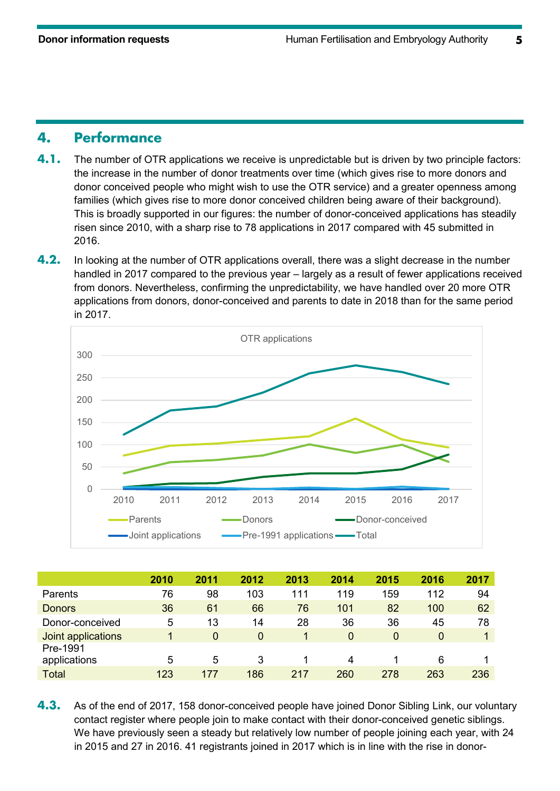## **4. Performance**

- **4.1.** The number of OTR applications we receive is unpredictable but is driven by two principle factors: the increase in the number of donor treatments over time (which gives rise to more donors and donor conceived people who might wish to use the OTR service) and a greater openness among families (which gives rise to more donor conceived children being aware of their background). This is broadly supported in our figures: the number of donor-conceived applications has steadily risen since 2010, with a sharp rise to 78 applications in 2017 compared with 45 submitted in 2016.
- **4.2.** In looking at the number of OTR applications overall, there was a slight decrease in the number handled in 2017 compared to the previous year – largely as a result of fewer applications received from donors. Nevertheless, confirming the unpredictability, we have handled over 20 more OTR applications from donors, donor-conceived and parents to date in 2018 than for the same period in 2017.



|                    | 2010 | 2011     | 2012 | 2013 | 2014     | 2015 | 2016           | 2017 |
|--------------------|------|----------|------|------|----------|------|----------------|------|
| Parents            | 76   | 98       | 103  | 111  | 119      | 159  | 112            | 94   |
| <b>Donors</b>      | 36   | 61       | 66   | 76   | 101      | 82   | 100            | 62   |
| Donor-conceived    | 5    | 13       | 14   | 28   | 36       | 36   | 45             | 78   |
| Joint applications | 1    | $\Omega$ | 0    |      | $\Omega$ | 0    | $\overline{0}$ |      |
| Pre-1991           |      |          |      |      |          |      |                |      |
| applications       | 5    | 5        | 3    |      | 4        |      | 6              |      |
| <b>Total</b>       | 123  | 177      | 186  | 217  | 260      | 278  | 263            | 236  |

**4.3.** As of the end of 2017, 158 donor-conceived people have joined Donor Sibling Link, our voluntary contact register where people join to make contact with their donor-conceived genetic siblings. We have previously seen a steady but relatively low number of people joining each year, with 24 in 2015 and 27 in 2016. 41 registrants joined in 2017 which is in line with the rise in donor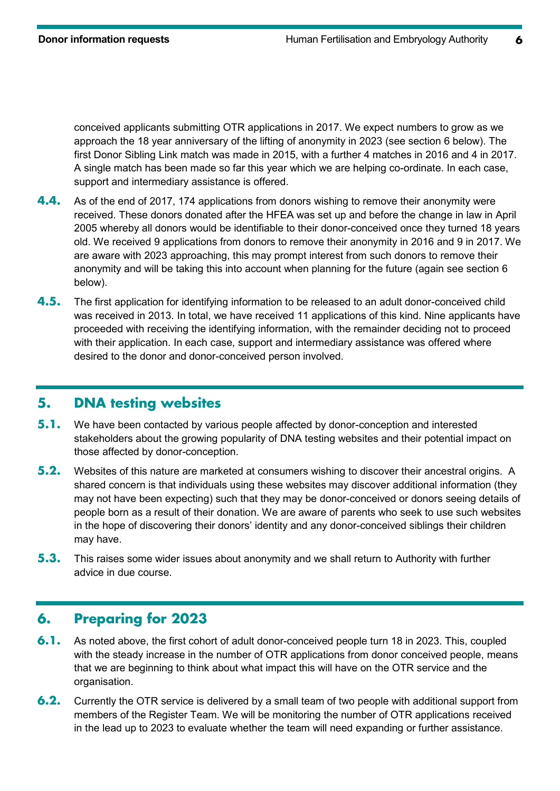conceived applicants submitting OTR applications in 2017. We expect numbers to grow as we approach the 18 year anniversary of the lifting of anonymity in 2023 (see section 6 below). The first Donor Sibling Link match was made in 2015, with a further 4 matches in 2016 and 4 in 2017. A single match has been made so far this year which we are helping co-ordinate. In each case, support and intermediary assistance is offered.

- **4.4.** As of the end of 2017, 174 applications from donors wishing to remove their anonymity were received. These donors donated after the HFEA was set up and before the change in law in April 2005 whereby all donors would be identifiable to their donor-conceived once they turned 18 years old. We received 9 applications from donors to remove their anonymity in 2016 and 9 in 2017. We are aware with 2023 approaching, this may prompt interest from such donors to remove their anonymity and will be taking this into account when planning for the future (again see section 6 below).
- **4.5.** The first application for identifying information to be released to an adult donor-conceived child was received in 2013. In total, we have received 11 applications of this kind. Nine applicants have proceeded with receiving the identifying information, with the remainder deciding not to proceed with their application. In each case, support and intermediary assistance was offered where desired to the donor and donor-conceived person involved.

# **5. DNA testing websites**

- **5.1.** We have been contacted by various people affected by donor-conception and interested stakeholders about the growing popularity of DNA testing websites and their potential impact on those affected by donor-conception.
- **5.2.** Websites of this nature are marketed at consumers wishing to discover their ancestral origins. A shared concern is that individuals using these websites may discover additional information (they may not have been expecting) such that they may be donor-conceived or donors seeing details of people born as a result of their donation. We are aware of parents who seek to use such websites in the hope of discovering their donors' identity and any donor-conceived siblings their children may have.
- **5.3.** This raises some wider issues about anonymity and we shall return to Authority with further advice in due course.

## **6. Preparing for 2023**

- **6.1.** As noted above, the first cohort of adult donor-conceived people turn 18 in 2023. This, coupled with the steady increase in the number of OTR applications from donor conceived people, means that we are beginning to think about what impact this will have on the OTR service and the organisation.
- **6.2.** Currently the OTR service is delivered by a small team of two people with additional support from members of the Register Team. We will be monitoring the number of OTR applications received in the lead up to 2023 to evaluate whether the team will need expanding or further assistance.